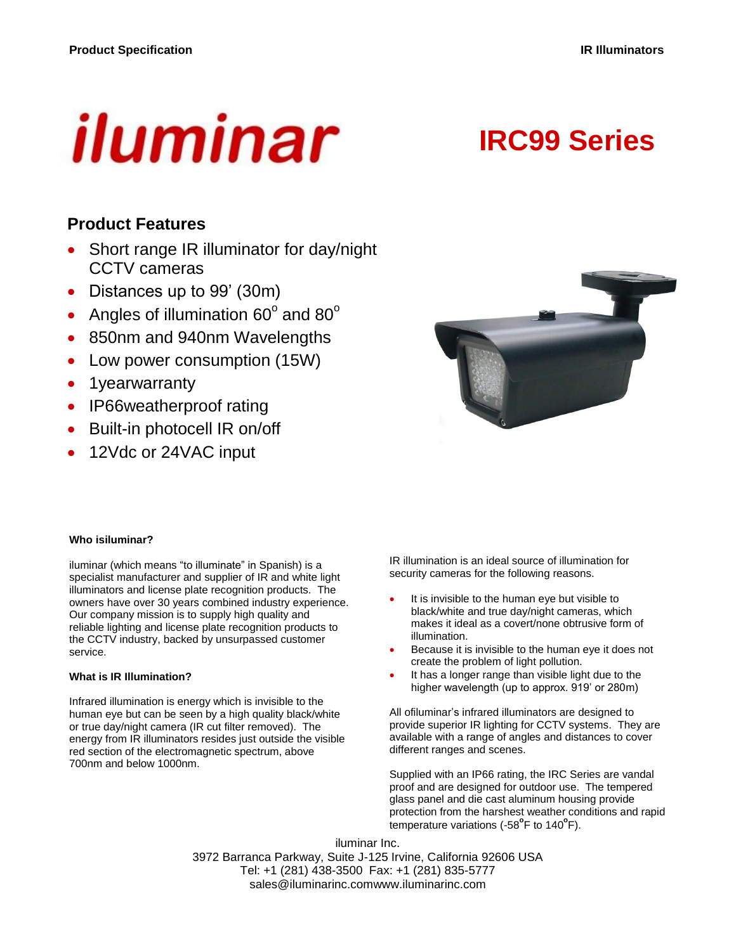# iluminar

# **IRC99 Series**

# **Product Features**

- Short range IR illuminator for day/night CCTV cameras
- Distances up to 99' (30m)
- Angles of illumination 60 $^{\circ}$  and 80 $^{\circ}$
- 850nm and 940nm Wavelengths
- Low power consumption (15W)
- 1yearwarranty
- IP66weatherproof rating
- Built-in photocell IR on/off
- 12Vdc or 24VAC input



#### **Who isiluminar?**

iluminar (which means "to illuminate" in Spanish) is a specialist manufacturer and supplier of IR and white light illuminators and license plate recognition products. The owners have over 30 years combined industry experience. Our company mission is to supply high quality and reliable lighting and license plate recognition products to the CCTV industry, backed by unsurpassed customer service.

#### **What is IR Illumination?**

Infrared illumination is energy which is invisible to the human eye but can be seen by a high quality black/white or true day/night camera (IR cut filter removed). The energy from IR illuminators resides just outside the visible red section of the electromagnetic spectrum, above 700nm and below 1000nm.

IR illumination is an ideal source of illumination for security cameras for the following reasons.

- It is invisible to the human eye but visible to black/white and true day/night cameras, which makes it ideal as a covert/none obtrusive form of illumination.
- Because it is invisible to the human eye it does not create the problem of light pollution.
- It has a longer range than visible light due to the higher wavelength (up to approx. 919' or 280m)

All ofiluminar's infrared illuminators are designed to provide superior IR lighting for CCTV systems. They are available with a range of angles and distances to cover different ranges and scenes.

Supplied with an IP66 rating, the IRC Series are vandal proof and are designed for outdoor use. The tempered glass panel and die cast aluminum housing provide protection from the harshest weather conditions and rapid .<br>temperature variations (-58<sup>°</sup>F to 140<sup>°</sup>F).

iluminar Inc. 3972 Barranca Parkway, Suite J-125 Irvine, California 92606 USA Tel: +1 (281) 438-3500 Fax: +1 (281) 835-5777 sales@iluminarinc.comwww.iluminarinc.com